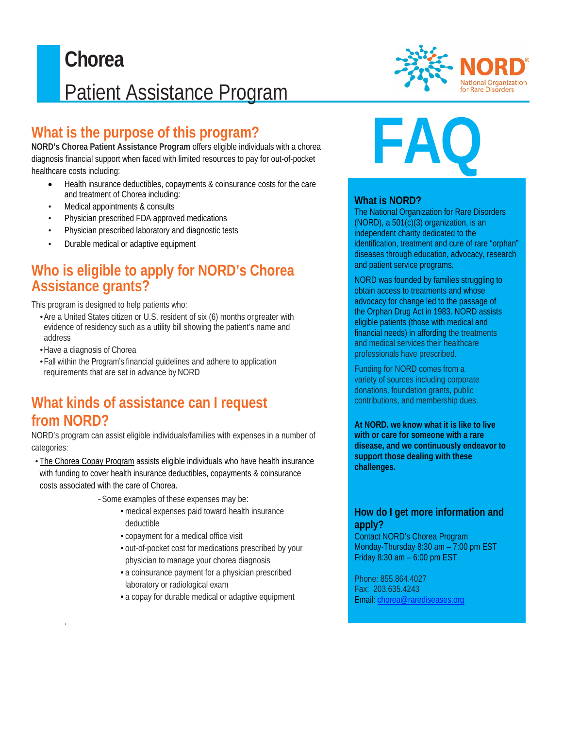## $\overline{a}$ **Chorea** Patient Assistance Program

## **What is the purpose of this program?**

**NORD's Chorea Patient Assistance Program** offers eligible individuals with a chorea diagnosis financial support when faced with limited resources to pay for out-of-pocket healthcare costs including:

- Health insurance deductibles, copayments & coinsurance costs for the care and treatment of Chorea including:
- Medical appointments & consults
- Physician prescribed FDA approved medications
- Physician prescribed laboratory and diagnostic tests
- Durable medical or adaptive equipment

#### **Who is eligible to apply for NORD's Chorea Assistance grants?**

This program is designed to help patients who:

- •Are a United States citizen or U.S. resident of six (6) months orgreater with evidence of residency such as a utility bill showing the patient's name and address
- •Have a diagnosis of Chorea

.

•Fall within the Program's financial guidelines and adhere to application requirements that are set in advance by NORD

### **What kinds of assistance can I request from NORD?**

NORD's program can assist eligible individuals/families with expenses in a number of categories:

• The Chorea Copay Program assists eligible individuals who have health insurance with funding to cover health insurance deductibles, copayments & coinsurance costs associated with the care of Chorea.

- *-*Some examples of these expenses may be:
	- medical expenses paid toward health insurance deductible
	- copayment for a medical office visit
	- out-of-pocket cost for medications prescribed by your physician to manage your chorea diagnosis
	- a coinsurance payment for a physician prescribed laboratory or radiological exam
	- a copay for durable medical or adaptive equipment



# **FAQ**

#### **What is NORD?**

The National Organization for Rare Disorders (NORD), a 501(c)(3) organization, is an independent charity dedicated to the identification, treatment and cure of rare "orphan" diseases through education, advocacy, research and patient service programs.

NORD was founded by families struggling to obtain access to treatments and whose advocacy for change led to the passage of the Orphan Drug Act in 1983. NORD assists eligible patients (those with medical and financial needs) in affording the treatments and medical services their healthcare professionals have prescribed.

Funding for NORD comes from a variety of sources including corporate donations, foundation grants, public contributions, and membership dues.

**At NORD. we know what it is like to live with or care for someone with a rare disease, and we continuously endeavor to support those dealing with these challenges.**

#### **How do I get more information and apply?**

Contact NORD's Chorea Program Monday-Thursday 8:30 am – 7:00 pm EST Friday 8:30 am – 6:00 pm EST

Phone: 855.864.4027 Fax: 203.635.4243 Email: [chorea@rarediseases.org](mailto:chorea@rarediseases.org)